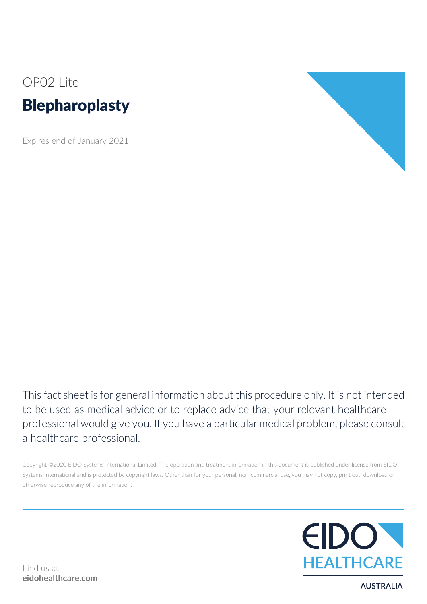# OP02 Lite Blepharoplasty

Expires end of January 2021



This fact sheet is for general information about this procedure only. It is not intended to be used as medical advice or to replace advice that your relevant healthcare professional would give you. If you have a particular medical problem, please consult a healthcare professional.

Copyright ©2020 EIDO Systems International Limited. The operation and treatment information in this document is published under license from EIDO Systems International and is protected by copyright laws. Other than for your personal, non-commercial use, you may not copy, print out, download or otherwise reproduce any of the information.



Find us at **eidohealthcare.com**

**AUSTRALIA**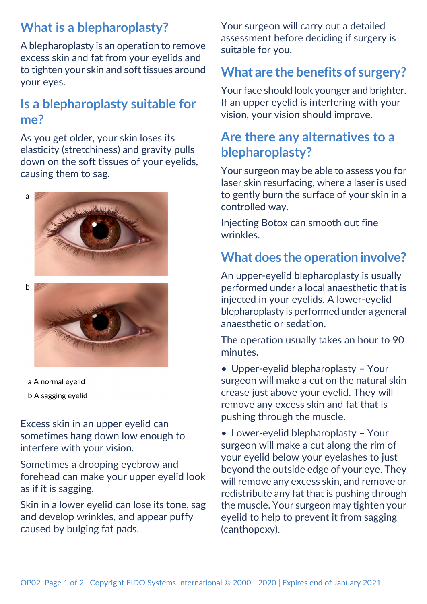### **What is a blepharoplasty?**

A blepharoplasty is an operation to remove excess skin and fat from your eyelids and to tighten your skin and soft tissues around your eyes.

#### **Is a blepharoplasty suitable for me?**

As you get older, your skin loses its elasticity (stretchiness) and gravity pulls down on the soft tissues of your eyelids, causing them to sag.

a



a A normal eyelid b A sagging eyelid

Excess skin in an upper eyelid can sometimes hang down low enough to interfere with your vision.

Sometimes a drooping eyebrow and forehead can make your upper eyelid look as if it is sagging.

Skin in a lower eyelid can lose its tone, sag and develop wrinkles, and appear puffy caused by bulging fat pads.

Your surgeon will carry out a detailed assessment before deciding if surgery is suitable for you.

### **What are the benefits of surgery?**

Your face should look younger and brighter. If an upper eyelid is interfering with your vision, your vision should improve.

### **Are there any alternatives to a blepharoplasty?**

Your surgeon may be able to assess you for laser skin resurfacing, where a laser is used to gently burn the surface of your skin in a controlled way.

Injecting Botox can smooth out fine wrinkles.

#### **What does the operation involve?**

An upper-eyelid blepharoplasty is usually performed under a local anaesthetic that is injected in your eyelids. A lower-eyelid blepharoplasty is performed under a general anaesthetic or sedation.

The operation usually takes an hour to 90 minutes.

• Upper-eyelid blepharoplasty – Your surgeon will make a cut on the natural skin crease just above your eyelid. They will remove any excess skin and fat that is pushing through the muscle.

• Lower-eyelid blepharoplasty – Your surgeon will make a cut along the rim of your eyelid below your eyelashes to just beyond the outside edge of your eye. They will remove any excess skin, and remove or redistribute any fat that is pushing through the muscle. Your surgeon may tighten your eyelid to help to prevent it from sagging (canthopexy).